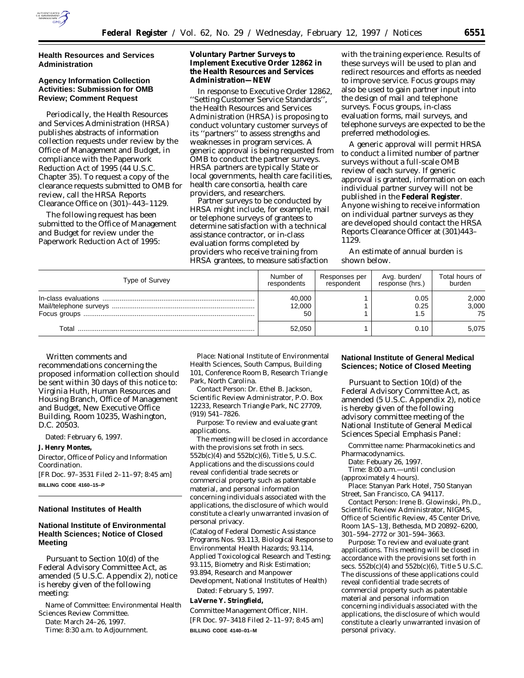

# **Health Resources and Services Administration**

# **Agency Information Collection Activities: Submission for OMB Review; Comment Request**

Periodically, the Health Resources and Services Administration (HRSA) publishes abstracts of information collection requests under review by the Office of Management and Budget, in compliance with the Paperwork Reduction Act of 1995 (44 U.S.C. Chapter 35). To request a copy of the clearance requests submitted to OMB for review, call the HRSA Reports Clearance Office on (301)–443–1129.

The following request has been submitted to the Office of Management and Budget for review under the Paperwork Reduction Act of 1995:

**Voluntary Partner Surveys to Implement Executive Order 12862 in the Health Resources and Services Administration—NEW**

In response to Executive Order 12862, ''Setting Customer Service Standards'', the Health Resources and Services Administration (HRSA) is proposing to conduct voluntary customer surveys of its ''partners'' to assess strengths and weaknesses in program services. A generic approval is being requested from OMB to conduct the partner surveys. HRSA partners are typically State or local governments, health care facilities, health care consortia, health care providers, and researchers.

Partner surveys to be conducted by HRSA might include, for example, mail or telephone surveys of grantees to determine satisfaction with a technical assistance contractor, or in-class evaluation forms completed by providers who receive training from HRSA grantees, to measure satisfaction

with the training experience. Results of these surveys will be used to plan and redirect resources and efforts as needed to improve service. Focus groups may also be used to gain partner input into the design of mail and telephone surveys. Focus groups, in-class evaluation forms, mail surveys, and telephone surveys are expected to be the preferred methodologies.

A generic approval will permit HRSA to conduct a limited number of partner surveys without a full-scale OMB review of each survey. If generic approval is granted, information on each individual partner survey will not be published in the **Federal Register**. Anyone wishing to receive information on individual partner surveys as they are developed should contact the HRSA Reports Clearance Officer at (301)443– 1129.

An estimate of annual burden is shown below.

| Type of Survey | Number of   | Responses per | Avg. burden/    | Total hours of |
|----------------|-------------|---------------|-----------------|----------------|
|                | respondents | respondent    | response (hrs.) | burden         |
|                | 40,000      |               | 0.05            | 2,000          |
|                | 12,000      |               | 0.25            | 3,000          |
|                | 50          |               | 1.5             | 75             |
| Total          | 52.050      |               | 0.10            | 5.075          |

Written comments and recommendations concerning the proposed information collection should be sent within 30 days of this notice to: Virginia Huth, Human Resources and Housing Branch, Office of Management and Budget, New Executive Office Building, Room 10235, Washington, D.C. 20503.

Dated: February 6, 1997.

**J. Henry Montes,**

*Director, Office of Policy and Information Coordination.*

[FR Doc. 97–3531 Filed 2–11–97; 8:45 am]

**BILLING CODE 4160–15–P**

### **National Institutes of Health**

# **National Institute of Environmental Health Sciences; Notice of Closed Meeting**

Pursuant to Section 10(d) of the Federal Advisory Committee Act, as amended (5 U.S.C. Appendix 2), notice is hereby given of the following meeting:

*Name of Committee:* Environmental Health Sciences Review Committee. *Date:* March 24–26, 1997. *Time:* 8:30 a.m. to Adjournment.

*Place:* National Institute of Environmental Health Sciences, South Campus, Building 101, Conference Room B, Research Triangle Park, North Carolina.

*Contact Person:* Dr. Ethel B. Jackson, Scientific Review Administrator, P.O. Box 12233, Research Triangle Park, NC 27709, (919) 541–7826.

*Purpose:* To review and evaluate grant applications.

The meeting will be closed in accordance with the provisions set froth in secs. 552b(c)(4) and 552b(c)(6), Title 5, U.S.C. Applications and the discussions could reveal confidential trade secrets or commercial property such as patentable material, and personal information concerning individuals associated with the applications, the disclosure of which would constitute a clearly unwarranted invasion of personal privacy.

(Catalog of Federal Domestic Assistance Programs Nos. 93.113, Biological Response to Environmental Health Hazards; 93.114, Applied Toxicological Research and Testing; 93.115, Biometry and Risk Estimation; 93.894, Research and Manpower Development, National Institutes of Health)

Dated: February 5, 1997. **LaVerne Y. Stringfield,** *Committee Management Officer, NIH.*

[FR Doc. 97–3418 Filed 2–11–97; 8:45 am] **BILLING CODE 4140–01–M**

# **National Institute of General Medical Sciences; Notice of Closed Meeting**

Pursuant to Section 10(d) of the Federal Advisory Committee Act, as amended (5 U.S.C. Appendix 2), notice is hereby given of the following advisory committee meeting of the National Institute of General Medical Sciences Special Emphasis Panel:

*Committee name:* Pharmacokinetics and Pharmacodynamics.

*Date:* Febuary 26, 1997.

*Time:* 8:00 a.m.—until conclusion (approximately 4 hours).

*Place:* Stanyan Park Hotel, 750 Stanyan Street, San Francisco, CA 94117.

*Contact Person:* Irene B. Glowinski, Ph.D., Scientific Review Administrator, NIGMS, Office of Scientific Review, 45 Center Drive, Room 1AS–13J, Bethesda, MD 20892–6200, 301–594–2772 or 301–594–3663.

*Purpose:* To review and evaluate grant applications. This meeting will be closed in accordance with the provisions set forth in secs.  $552b(c)(4)$  and  $552b(c)(6)$ , Title 5 U.S.C. The discussions of these applications could reveal confidential trade secrets of commercial property such as patentable material and personal information concerning individuals associated with the applications, the disclosure of which would constitute a clearly unwarranted invasion of personal privacy.